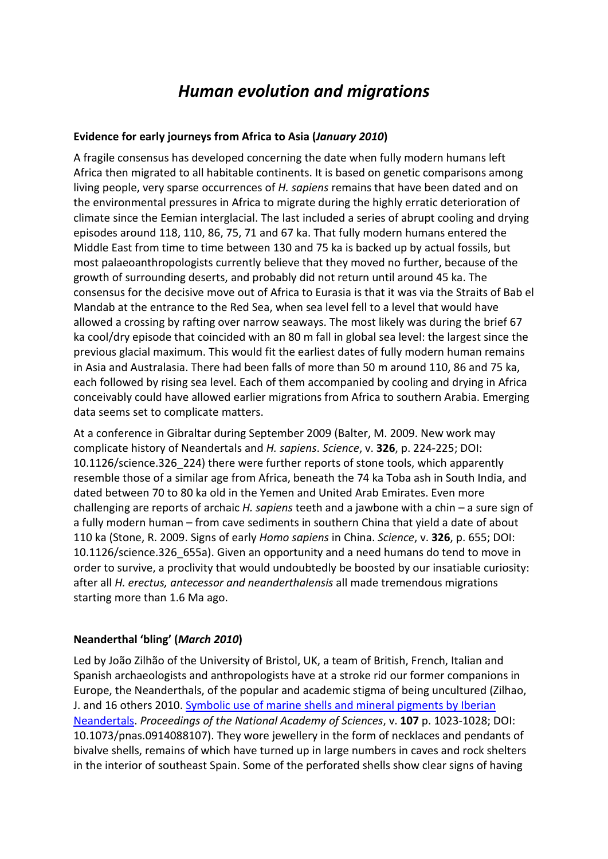# *Human evolution and migrations*

#### **Evidence for early journeys from Africa to Asia (***January 2010***)**

A fragile consensus has developed concerning the date when fully modern humans left Africa then migrated to all habitable continents. It is based on genetic comparisons among living people, very sparse occurrences of *H. sapiens* remains that have been dated and on the environmental pressures in Africa to migrate during the highly erratic deterioration of climate since the Eemian interglacial. The last included a series of abrupt cooling and drying episodes around 118, 110, 86, 75, 71 and 67 ka. That fully modern humans entered the Middle East from time to time between 130 and 75 ka is backed up by actual fossils, but most palaeoanthropologists currently believe that they moved no further, because of the growth of surrounding deserts, and probably did not return until around 45 ka. The consensus for the decisive move out of Africa to Eurasia is that it was via the Straits of Bab el Mandab at the entrance to the Red Sea, when sea level fell to a level that would have allowed a crossing by rafting over narrow seaways. The most likely was during the brief 67 ka cool/dry episode that coincided with an 80 m fall in global sea level: the largest since the previous glacial maximum. This would fit the earliest dates of fully modern human remains in Asia and Australasia. There had been falls of more than 50 m around 110, 86 and 75 ka, each followed by rising sea level. Each of them accompanied by cooling and drying in Africa conceivably could have allowed earlier migrations from Africa to southern Arabia. Emerging data seems set to complicate matters.

At a conference in Gibraltar during September 2009 (Balter, M. 2009. New work may complicate history of Neandertals and *H. sapiens*. *Science*, v. **326**, p. 224-225; DOI: 10.1126/science.326\_224) there were further reports of stone tools, which apparently resemble those of a similar age from Africa, beneath the 74 ka Toba ash in South India, and dated between 70 to 80 ka old in the Yemen and United Arab Emirates. Even more challenging are reports of archaic *H. sapiens* teeth and a jawbone with a chin – a sure sign of a fully modern human – from cave sediments in southern China that yield a date of about 110 ka (Stone, R. 2009. Signs of early *Homo sapiens* in China. *Science*, v. **326**, p. 655; DOI: 10.1126/science.326\_655a). Given an opportunity and a need humans do tend to move in order to survive, a proclivity that would undoubtedly be boosted by our insatiable curiosity: after all *H. erectus, antecessor and neanderthalensis* all made tremendous migrations starting more than 1.6 Ma ago.

#### **Neanderthal 'bling' (***March 2010***)**

Led by João Zilhão of the University of Bristol, UK, a team of British, French, Italian and Spanish archaeologists and anthropologists have at a stroke rid our former companions in Europe, the Neanderthals, of the popular and academic stigma of being uncultured (Zilhao, J. and 16 others 2010. Symbolic use of marine shells and mineral pigments by Iberian [Neandertals.](http://www.pnas.org/content/107/3/1023.full.pdf) *Proceedings of the National Academy of Sciences*, v. **107** p. 1023-1028; DOI: 10.1073/pnas.0914088107). They wore jewellery in the form of necklaces and pendants of bivalve shells, remains of which have turned up in large numbers in caves and rock shelters in the interior of southeast Spain. Some of the perforated shells show clear signs of having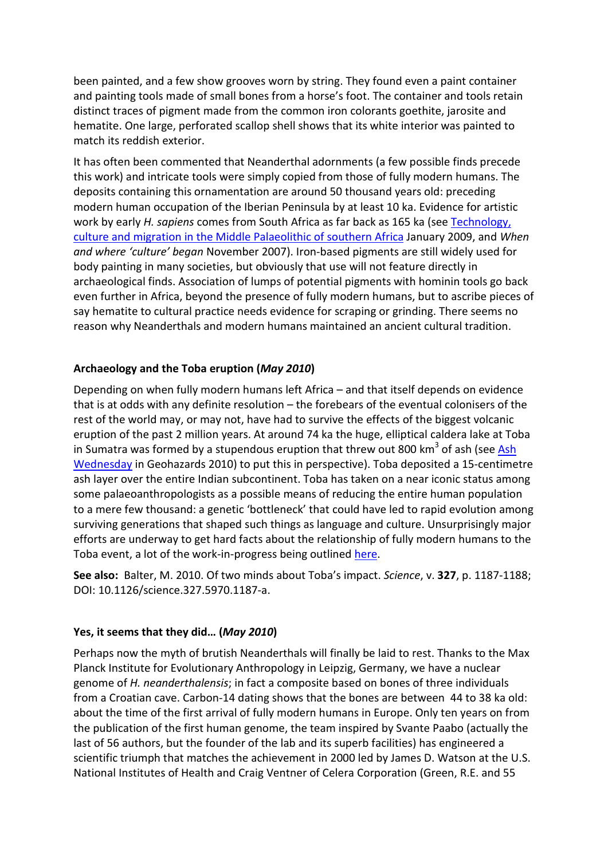been painted, and a few show grooves worn by string. They found even a paint container and painting tools made of small bones from a horse's foot. The container and tools retain distinct traces of pigment made from the common iron colorants goethite, jarosite and hematite. One large, perforated scallop shell shows that its white interior was painted to match its reddish exterior.

It has often been commented that Neanderthal adornments (a few possible finds precede this work) and intricate tools were simply copied from those of fully modern humans. The deposits containing this ornamentation are around 50 thousand years old: preceding modern human occupation of the Iberian Peninsula by at least 10 ka. Evidence for artistic work by early *H. sapiens* comes from South Africa as far back as 165 ka (see [Technology,](https://earthlog1.files.wordpress.com/2019/04/human-evolution-and-migrations-2009.pdf)  [culture and migration in the Middle Palaeolithic of southern Africa](https://earthlog1.files.wordpress.com/2019/04/human-evolution-and-migrations-2009.pdf) January 2009, and *When and where 'culture' began* November 2007). Iron-based pigments are still widely used for body painting in many societies, but obviously that use will not feature directly in archaeological finds. Association of lumps of potential pigments with hominin tools go back even further in Africa, beyond the presence of fully modern humans, but to ascribe pieces of say hematite to cultural practice needs evidence for scraping or grinding. There seems no reason why Neanderthals and modern humans maintained an ancient cultural tradition.

## **Archaeology and the Toba eruption (***May 2010***)**

Depending on when fully modern humans left Africa – and that itself depends on evidence that is at odds with any definite resolution – the forebears of the eventual colonisers of the rest of the world may, or may not, have had to survive the effects of the biggest volcanic eruption of the past 2 million years. At around 74 ka the huge, elliptical caldera lake at Toba in Sumatra was formed by a stupendous eruption that threw out 800 km<sup>3</sup> of ash (see Ash [Wednesday](https://earthlog1.files.wordpress.com/2019/04/geohazards-2010.pdf) in Geohazards 2010) to put this in perspective). Toba deposited a 15-centimetre ash layer over the entire Indian subcontinent. Toba has taken on a near iconic status among some palaeoanthropologists as a possible means of reducing the entire human population to a mere few thousand: a genetic 'bottleneck' that could have led to rapid evolution among surviving generations that shaped such things as language and culture. Unsurprisingly major efforts are underway to get hard facts about the relationship of fully modern humans to the Toba event, a lot of the work-in-progress being outlined [here.](https://web.archive.org/web/20121212021704/http:/toba.arch.ox.ac.uk/index.htm)

**See also:** Balter, M. 2010. Of two minds about Toba's impact. *Science*, v. **327**, p. 1187-1188; DOI: 10.1126/science.327.5970.1187-a.

#### **Yes, it seems that they did… (***May 2010***)**

Perhaps now the myth of brutish Neanderthals will finally be laid to rest. Thanks to the Max Planck Institute for Evolutionary Anthropology in Leipzig, Germany, we have a nuclear genome of *H. neanderthalensis*; in fact a composite based on bones of three individuals from a Croatian cave. Carbon-14 dating shows that the bones are between 44 to 38 ka old: about the time of the first arrival of fully modern humans in Europe. Only ten years on from the publication of the first human genome, the team inspired by Svante Paabo (actually the last of 56 authors, but the founder of the lab and its superb facilities) has engineered a scientific triumph that matches the achievement in 2000 led by James D. Watson at the U.S. National Institutes of Health and Craig Ventner of Celera Corporation (Green, R.E. and 55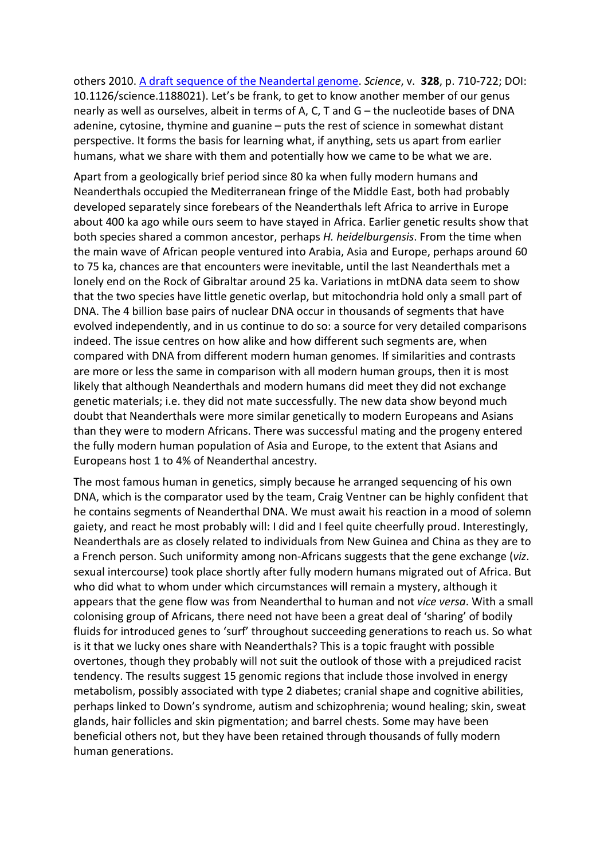others 2010. [A draft sequence of the Neandertal genome.](https://www.ncbi.nlm.nih.gov/pmc/articles/PMC5100745/pdf/nihms-827403.pdf) *Science*, v. **328**, p. 710-722; DOI: 10.1126/science.1188021). Let's be frank, to get to know another member of our genus nearly as well as ourselves, albeit in terms of A, C, T and G – the nucleotide bases of DNA adenine, cytosine, thymine and guanine – puts the rest of science in somewhat distant perspective. It forms the basis for learning what, if anything, sets us apart from earlier humans, what we share with them and potentially how we came to be what we are.

Apart from a geologically brief period since 80 ka when fully modern humans and Neanderthals occupied the Mediterranean fringe of the Middle East, both had probably developed separately since forebears of the Neanderthals left Africa to arrive in Europe about 400 ka ago while ours seem to have stayed in Africa. Earlier genetic results show that both species shared a common ancestor, perhaps *H. heidelburgensis*. From the time when the main wave of African people ventured into Arabia, Asia and Europe, perhaps around 60 to 75 ka, chances are that encounters were inevitable, until the last Neanderthals met a lonely end on the Rock of Gibraltar around 25 ka. Variations in mtDNA data seem to show that the two species have little genetic overlap, but mitochondria hold only a small part of DNA. The 4 billion base pairs of nuclear DNA occur in thousands of segments that have evolved independently, and in us continue to do so: a source for very detailed comparisons indeed. The issue centres on how alike and how different such segments are, when compared with DNA from different modern human genomes. If similarities and contrasts are more or less the same in comparison with all modern human groups, then it is most likely that although Neanderthals and modern humans did meet they did not exchange genetic materials; i.e. they did not mate successfully. The new data show beyond much doubt that Neanderthals were more similar genetically to modern Europeans and Asians than they were to modern Africans. There was successful mating and the progeny entered the fully modern human population of Asia and Europe, to the extent that Asians and Europeans host 1 to 4% of Neanderthal ancestry.

The most famous human in genetics, simply because he arranged sequencing of his own DNA, which is the comparator used by the team, Craig Ventner can be highly confident that he contains segments of Neanderthal DNA. We must await his reaction in a mood of solemn gaiety, and react he most probably will: I did and I feel quite cheerfully proud. Interestingly, Neanderthals are as closely related to individuals from New Guinea and China as they are to a French person. Such uniformity among non-Africans suggests that the gene exchange (*viz*. sexual intercourse) took place shortly after fully modern humans migrated out of Africa. But who did what to whom under which circumstances will remain a mystery, although it appears that the gene flow was from Neanderthal to human and not *vice versa*. With a small colonising group of Africans, there need not have been a great deal of 'sharing' of bodily fluids for introduced genes to 'surf' throughout succeeding generations to reach us. So what is it that we lucky ones share with Neanderthals? This is a topic fraught with possible overtones, though they probably will not suit the outlook of those with a prejudiced racist tendency. The results suggest 15 genomic regions that include those involved in energy metabolism, possibly associated with type 2 diabetes; cranial shape and cognitive abilities, perhaps linked to Down's syndrome, autism and schizophrenia; wound healing; skin, sweat glands, hair follicles and skin pigmentation; and barrel chests. Some may have been beneficial others not, but they have been retained through thousands of fully modern human generations.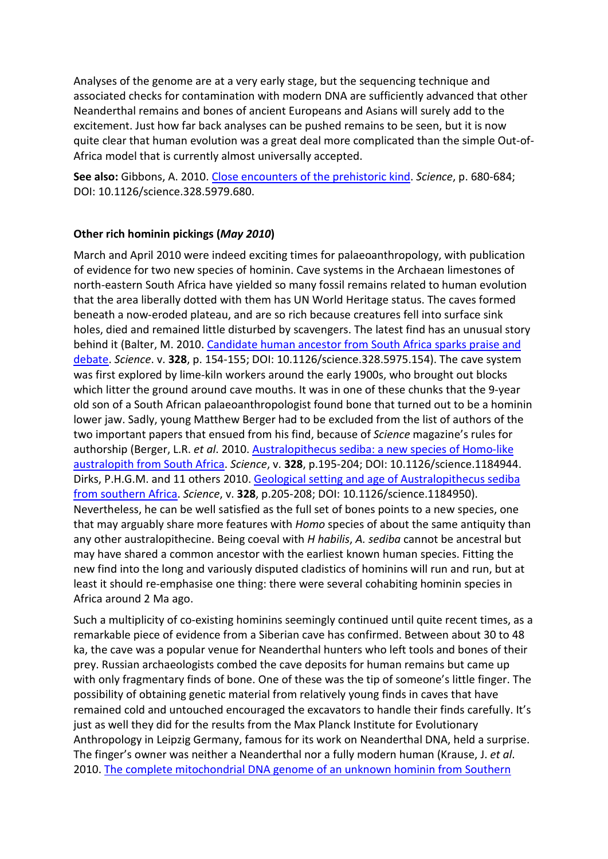Analyses of the genome are at a very early stage, but the sequencing technique and associated checks for contamination with modern DNA are sufficiently advanced that other Neanderthal remains and bones of ancient Europeans and Asians will surely add to the excitement. Just how far back analyses can be pushed remains to be seen, but it is now quite clear that human evolution was a great deal more complicated than the simple Out-of-Africa model that is currently almost universally accepted.

**See also:** Gibbons, A. 2010. [Close encounters of the prehistoric kind.](https://reich.hms.harvard.edu/sites/reich.hms.harvard.edu/files/inline-files/gibbon%20article-1.pdf) *Science*, p. 680-684; DOI: 10.1126/science.328.5979.680.

## **Other rich hominin pickings (***May 2010***)**

March and April 2010 were indeed exciting times for palaeoanthropology, with publication of evidence for two new species of hominin. Cave systems in the Archaean limestones of north-eastern South Africa have yielded so many fossil remains related to human evolution that the area liberally dotted with them has UN World Heritage status. The caves formed beneath a now-eroded plateau, and are so rich because creatures fell into surface sink holes, died and remained little disturbed by scavengers. The latest find has an unusual story behind it (Balter, M. 2010. [Candidate human ancestor from South Africa sparks praise and](https://core.ac.uk/download/pdf/20663789.pdf)  [debate.](https://core.ac.uk/download/pdf/20663789.pdf) *Science*. v. **328**, p. 154-155; DOI: 10.1126/science.328.5975.154). The cave system was first explored by lime-kiln workers around the early 1900s, who brought out blocks which litter the ground around cave mouths. It was in one of these chunks that the 9-year old son of a South African palaeoanthropologist found bone that turned out to be a hominin lower jaw. Sadly, young Matthew Berger had to be excluded from the list of authors of the two important papers that ensued from his find, because of *Science* magazine's rules for authorship (Berger, L.R. *et al*. 2010. [Australopithecus sediba: a new species of Homo-like](http://www.academia.edu/attachments/50918292/download_file?st=MTU0NDIwMzQyMiw4Ni4xNTkuMTQ3LjE2OA%3D%3D&s=swp-splash-paper-cover)  [australopith from South Africa.](http://www.academia.edu/attachments/50918292/download_file?st=MTU0NDIwMzQyMiw4Ni4xNTkuMTQ3LjE2OA%3D%3D&s=swp-splash-paper-cover) *Science*, v. **328**, p.195-204; DOI: 10.1126/science.1184944. Dirks, P.H.G.M. and 11 others 2010[. Geological setting and age of Australopithecus sediba](http://doc.rero.ch/record/210321/files/PAL_E4368.pdf)  [from southern Africa.](http://doc.rero.ch/record/210321/files/PAL_E4368.pdf) *Science*, v. **328**, p.205-208; DOI: 10.1126/science.1184950). Nevertheless, he can be well satisfied as the full set of bones points to a new species, one that may arguably share more features with *Homo* species of about the same antiquity than any other australopithecine. Being coeval with *H habilis*, *A. sediba* cannot be ancestral but may have shared a common ancestor with the earliest known human species. Fitting the new find into the long and variously disputed cladistics of hominins will run and run, but at least it should re-emphasise one thing: there were several cohabiting hominin species in Africa around 2 Ma ago.

Such a multiplicity of co-existing hominins seemingly continued until quite recent times, as a remarkable piece of evidence from a Siberian cave has confirmed. Between about 30 to 48 ka, the cave was a popular venue for Neanderthal hunters who left tools and bones of their prey. Russian archaeologists combed the cave deposits for human remains but came up with only fragmentary finds of bone. One of these was the tip of someone's little finger. The possibility of obtaining genetic material from relatively young finds in caves that have remained cold and untouched encouraged the excavators to handle their finds carefully. It's just as well they did for the results from the Max Planck Institute for Evolutionary Anthropology in Leipzig Germany, famous for its work on Neanderthal DNA, held a surprise. The finger's owner was neither a Neanderthal nor a fully modern human (Krause, J. *et al*. 2010. [The complete mitochondrial DNA genome of an unknown hominin from Southern](https://www.researchgate.net/profile/Bence_Viola/publication/42542262_The_Complete_Mitochondrial_DNA_Genome_of_an_Unknown_Hominin_from_Southern_Siberia/links/0912f50bf90eead4ef000000/The-Complete-Mitochondrial-DNA-Genome-of-an-Unknown-Hominin-from-Southern)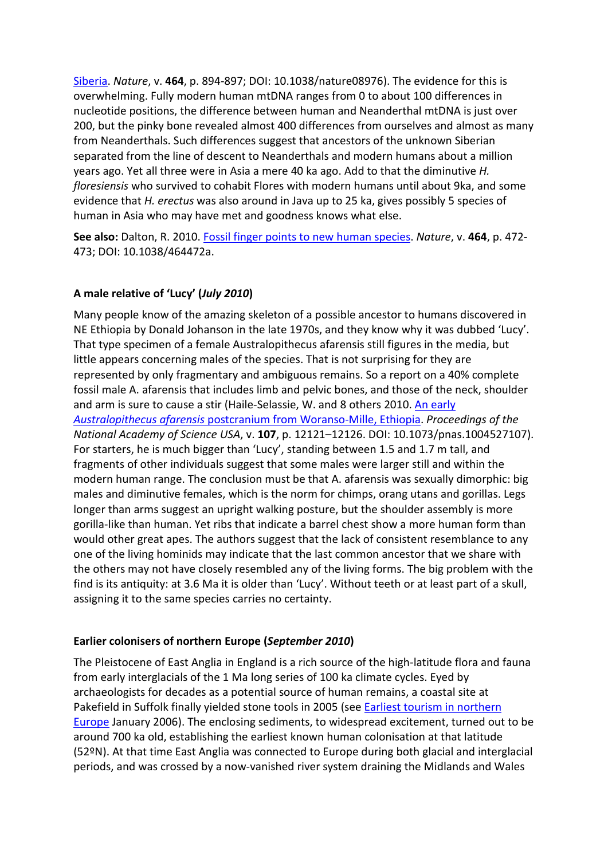Siberia. *Nature*, v. **464**, p. 894-897; DOI: 10.1038/nature08976). The evidence for this is overwhelming. Fully modern human mtDNA ranges from 0 to about 100 differences in nucleotide positions, the difference between human and Neanderthal mtDNA is just over 200, but the pinky bone revealed almost 400 differences from ourselves and almost as many from Neanderthals. Such differences suggest that ancestors of the unknown Siberian separated from the line of descent to Neanderthals and modern humans about a million years ago. Yet all three were in Asia a mere 40 ka ago. Add to that the diminutive *H. floresiensis* who survived to cohabit Flores with modern humans until about 9ka, and some evidence that *H. erectus* was also around in Java up to 25 ka, gives possibly 5 species of human in Asia who may have met and goodness knows what else.

**See also:** Dalton, R. 2010. [Fossil finger points to new human species.](https://www.nature.com/news/2010/100324/full/464472a.html) *Nature*, v. **464**, p. 472- 473; DOI: 10.1038/464472a.

# **A male relative of 'Lucy' (***July 2010***)**

Many people know of the amazing skeleton of a possible ancestor to humans discovered in NE Ethiopia by Donald Johanson in the late 1970s, and they know why it was dubbed 'Lucy'. That type specimen of a female Australopithecus afarensis still figures in the media, but little appears concerning males of the species. That is not surprising for they are represented by only fragmentary and ambiguous remains. So a report on a 40% complete fossil male A. afarensis that includes limb and pelvic bones, and those of the neck, shoulder and arm is sure to cause a stir (Haile-Selassie, W. and 8 others 2010. [An early](http://www.pnas.org/content/107/27/12121.full.pdf)  *Australopithecus afarensis* [postcranium from Woranso-Mille, Ethiopia.](http://www.pnas.org/content/107/27/12121.full.pdf) *Proceedings of the National Academy of Science USA*, v. **107**, p. 12121–12126. DOI: 10.1073/pnas.1004527107). For starters, he is much bigger than 'Lucy', standing between 1.5 and 1.7 m tall, and fragments of other individuals suggest that some males were larger still and within the modern human range. The conclusion must be that A. afarensis was sexually dimorphic: big males and diminutive females, which is the norm for chimps, orang utans and gorillas. Legs longer than arms suggest an upright walking posture, but the shoulder assembly is more gorilla-like than human. Yet ribs that indicate a barrel chest show a more human form than would other great apes. The authors suggest that the lack of consistent resemblance to any one of the living hominids may indicate that the last common ancestor that we share with the others may not have closely resembled any of the living forms. The big problem with the find is its antiquity: at 3.6 Ma it is older than 'Lucy'. Without teeth or at least part of a skull, assigning it to the same species carries no certainty.

# **Earlier colonisers of northern Europe (***September 2010***)**

The Pleistocene of East Anglia in England is a rich source of the high-latitude flora and fauna from early interglacials of the 1 Ma long series of 100 ka climate cycles. Eyed by archaeologists for decades as a potential source of human remains, a coastal site at Pakefield in Suffolk finally yielded stone tools in 2005 (see [Earliest tourism in northern](https://earthlog1.files.wordpress.com/2019/04/human-evolution-and-migrations-2006.pdf)  [Europe](https://earthlog1.files.wordpress.com/2019/04/human-evolution-and-migrations-2006.pdf) January 2006). The enclosing sediments, to widespread excitement, turned out to be around 700 ka old, establishing the earliest known human colonisation at that latitude (52ºN). At that time East Anglia was connected to Europe during both glacial and interglacial periods, and was crossed by a now-vanished river system draining the Midlands and Wales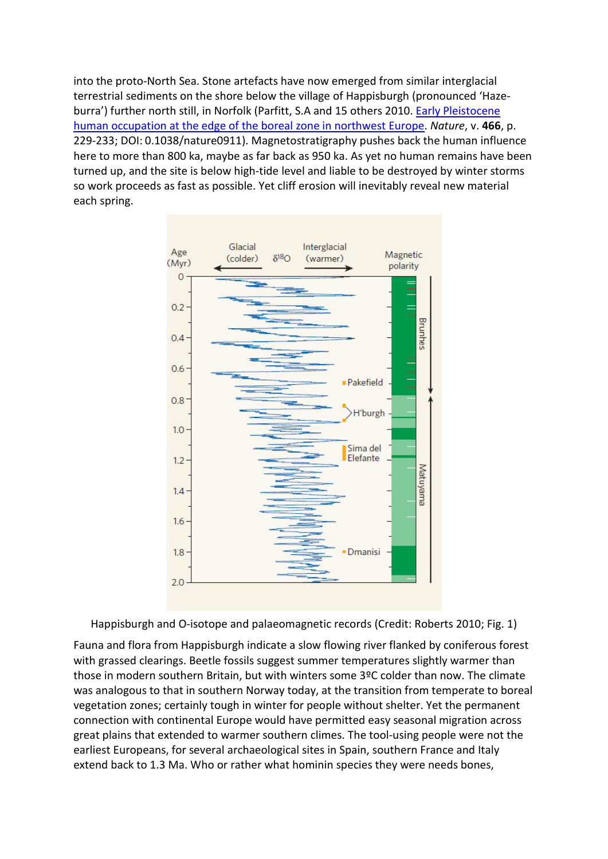into the proto-North Sea. Stone artefacts have now emerged from similar interglacial terrestrial sediments on the shore below the village of Happisburgh (pronounced 'Hazeburra') further north still, in Norfolk (Parfitt, S.A and 15 others 2010. [Early Pleistocene](http://www.lancaster.ac.uk/staff/maherb/papers/ParfittMaheretalNatureJuly201009117.pdf)  [human occupation at the edge of the boreal zone in northwest Europe.](http://www.lancaster.ac.uk/staff/maherb/papers/ParfittMaheretalNatureJuly201009117.pdf) *Nature*, v. **466**, p. 229-233; DOI: 0.1038/nature0911). Magnetostratigraphy pushes back the human influence here to more than 800 ka, maybe as far back as 950 ka. As yet no human remains have been turned up, and the site is below high-tide level and liable to be destroyed by winter storms so work proceeds as fast as possible. Yet cliff erosion will inevitably reveal new material each spring.



Happisburgh and O-isotope and palaeomagnetic records (Credit: Roberts 2010; Fig. 1)

Fauna and flora from Happisburgh indicate a slow flowing river flanked by coniferous forest with grassed clearings. Beetle fossils suggest summer temperatures slightly warmer than those in modern southern Britain, but with winters some 3ºC colder than now. The climate was analogous to that in southern Norway today, at the transition from temperate to boreal vegetation zones; certainly tough in winter for people without shelter. Yet the permanent connection with continental Europe would have permitted easy seasonal migration across great plains that extended to warmer southern climes. The tool-using people were not the earliest Europeans, for several archaeological sites in Spain, southern France and Italy extend back to 1.3 Ma. Who or rather what hominin species they were needs bones,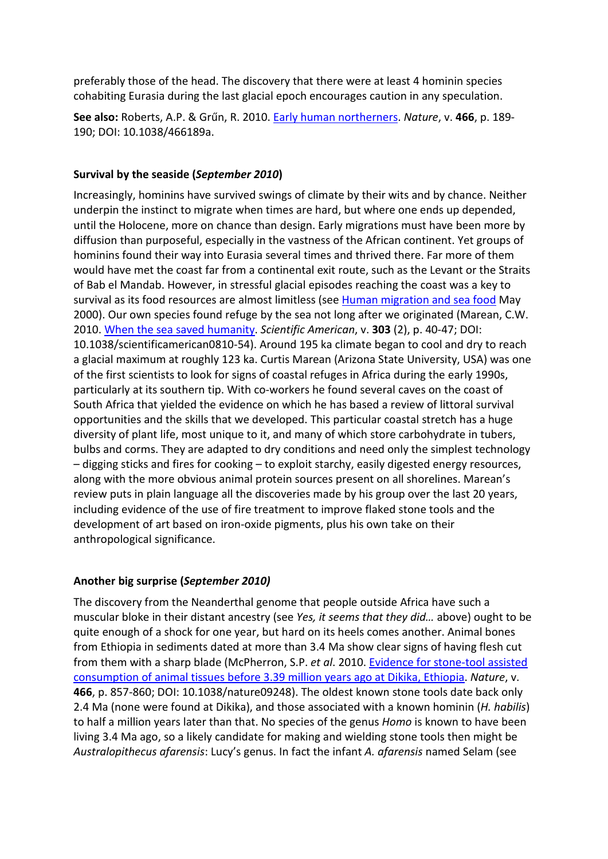preferably those of the head. The discovery that there were at least 4 hominin species cohabiting Eurasia during the last glacial epoch encourages caution in any speculation.

**See also:** Roberts, A.P. & Grűn, R. 2010. [Early human northerners.](https://www.researchgate.net/profile/Andrew_Roberts16/publication/45102310_Archaeology_Early_human_northerners/links/0a85e5374336784738000000/Archaeology-Early-human-northerners.pdf?origin=publication_detail) *Nature*, v. **466**, p. 189- 190; DOI: 10.1038/466189a.

#### **Survival by the seaside (***September 2010***)**

Increasingly, hominins have survived swings of climate by their wits and by chance. Neither underpin the instinct to migrate when times are hard, but where one ends up depended, until the Holocene, more on chance than design. Early migrations must have been more by diffusion than purposeful, especially in the vastness of the African continent. Yet groups of hominins found their way into Eurasia several times and thrived there. Far more of them would have met the coast far from a continental exit route, such as the Levant or the Straits of Bab el Mandab. However, in stressful glacial episodes reaching the coast was a key to survival as its food resources are almost limitless (see [Human migration and sea food](https://earthlog1.files.wordpress.com/2019/04/human-evolution-and-migrations-2000.pdf) May 2000). Our own species found refuge by the sea not long after we originated (Marean, C.W. 2010. [When the sea saved humanity.](https://www.scientificamerican.com/article/when-the-sea-saved-humanity-2012-12-07/) *Scientific American*, v. **303** (2), p. 40-47; DOI: 10.1038/scientificamerican0810-54). Around 195 ka climate began to cool and dry to reach a glacial maximum at roughly 123 ka. Curtis Marean (Arizona State University, USA) was one of the first scientists to look for signs of coastal refuges in Africa during the early 1990s, particularly at its southern tip. With co-workers he found several caves on the coast of South Africa that yielded the evidence on which he has based a review of littoral survival opportunities and the skills that we developed. This particular coastal stretch has a huge diversity of plant life, most unique to it, and many of which store carbohydrate in tubers, bulbs and corms. They are adapted to dry conditions and need only the simplest technology – digging sticks and fires for cooking – to exploit starchy, easily digested energy resources, along with the more obvious animal protein sources present on all shorelines. Marean's review puts in plain language all the discoveries made by his group over the last 20 years, including evidence of the use of fire treatment to improve flaked stone tools and the development of art based on iron-oxide pigments, plus his own take on their anthropological significance.

# **Another big surprise (***September 2010)*

The discovery from the Neanderthal genome that people outside Africa have such a muscular bloke in their distant ancestry (see *Yes, it seems that they did…* above) ought to be quite enough of a shock for one year, but hard on its heels comes another. Animal bones from Ethiopia in sediments dated at more than 3.4 Ma show clear signs of having flesh cut from them with a sharp blade (McPherron, S.P. *et al*. 2010. [Evidence for stone-tool assisted](https://www.researchgate.net/profile/Rene_Bobe/publication/283496176_Evidence_for_Stone-Tool-Assisted_Consumption_of_Animal_Tissues_before_339_million_years_ago_at_Dikika_Ethiopia/links/58543b4808ae8f695553d074/Evidence-for-Stone-Tool-Assisted-Consumption-)  [consumption of animal tissues before 3.39 million years ago at Dikika, Ethiopia.](https://www.researchgate.net/profile/Rene_Bobe/publication/283496176_Evidence_for_Stone-Tool-Assisted_Consumption_of_Animal_Tissues_before_339_million_years_ago_at_Dikika_Ethiopia/links/58543b4808ae8f695553d074/Evidence-for-Stone-Tool-Assisted-Consumption-) *Nature*, v. **466**, p. 857-860; DOI: 10.1038/nature09248). The oldest known stone tools date back only 2.4 Ma (none were found at Dikika), and those associated with a known hominin (*H. habilis*) to half a million years later than that. No species of the genus *Homo* is known to have been living 3.4 Ma ago, so a likely candidate for making and wielding stone tools then might be *Australopithecus afarensis*: Lucy's genus. In fact the infant *A. afarensis* named Selam (see